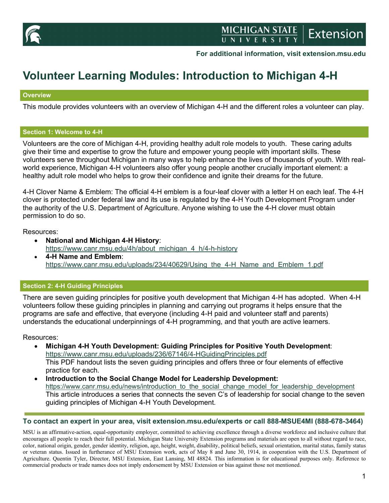

**For additional information, visit extension.msu.edu**

# **Volunteer Learning Modules: Introduction to Michigan 4-H**

## **Overview**

This module provides volunteers with an overview of Michigan 4-H and the different roles a volunteer can play.

#### **Section 1: Welcome to 4-H**

Volunteers are the core of Michigan 4-H, providing healthy adult role models to youth. These caring adults give their time and expertise to grow the future and empower young people with important skills. These volunteers serve throughout Michigan in many ways to help enhance the lives of thousands of youth. With realworld experience, Michigan 4-H volunteers also offer young people another crucially important element: a healthy adult role model who helps to grow their confidence and ignite their dreams for the future.

4-H Clover Name & Emblem: The official 4-H emblem is a four-leaf clover with a letter H on each leaf. The 4-H clover is protected under federal law and its use is regulated by the 4-H Youth Development Program under the authority of the U.S. Department of Agriculture. Anyone wishing to use the 4-H clover must obtain permission to do so.

Resources:

- **National and Michigan 4-H History**: [https://www.canr.msu.edu/4h/about\\_michigan\\_4\\_h/4-h-history](https://www.canr.msu.edu/4h/about_michigan_4_h/4-h-history)
- **4-H Name and Emblem**: [https://www.canr.msu.edu/uploads/234/40629/Using\\_the\\_4-H\\_Name\\_and\\_Emblem\\_1.pdf](https://www.canr.msu.edu/uploads/234/40629/Using_the_4-H_Name_and_Emblem_1.pdf)

## **Section 2: 4-H Guiding Principles**

There are seven guiding principles for positive youth development that Michigan 4-H has adopted. When 4-H volunteers follow these guiding principles in planning and carrying out programs it helps ensure that the programs are safe and effective, that everyone (including 4-H paid and volunteer staff and parents) understands the educational underpinnings of 4-H programming, and that youth are active learners.

Resources:

- **Michigan 4-H Youth Development: Guiding Principles for Positive Youth Development**: <https://www.canr.msu.edu/uploads/236/67146/4-HGuidingPrinciples.pdf> This PDF handout lists the seven guiding principles and offers three or four elements of effective practice for each.
- **Introduction to the Social Change Model for Leadership Development:**  [https://www.canr.msu.edu/news/introduction\\_to\\_the\\_social\\_change\\_model\\_for\\_leadership\\_development](https://www.canr.msu.edu/news/introduction_to_the_social_change_model_for_leadership_development) This article introduces a series that connects the seven C's of leadership for social change to the seven guiding principles of Michigan 4-H Youth Development.

## **To contact an expert in your area, visit extension.msu.edu/experts or call 888-MSUE4MI (888-678-3464)**

MSU is an affirmative-action, equal-opportunity employer, committed to achieving excellence through a diverse workforce and inclusive culture that encourages all people to reach their full potential. Michigan State University Extension programs and materials are open to all without regard to race, color, national origin, gender, gender identity, religion, age, height, weight, disability, political beliefs, sexual orientation, marital status, family status or veteran status. Issued in furtherance of MSU Extension work, acts of May 8 and June 30, 1914, in cooperation with the U.S. Department of Agriculture. Quentin Tyler, Director, MSU Extension, East Lansing, MI 48824. This information is for educational purposes only. Reference to commercial products or trade names does not imply endorsement by MSU Extension or bias against those not mentioned.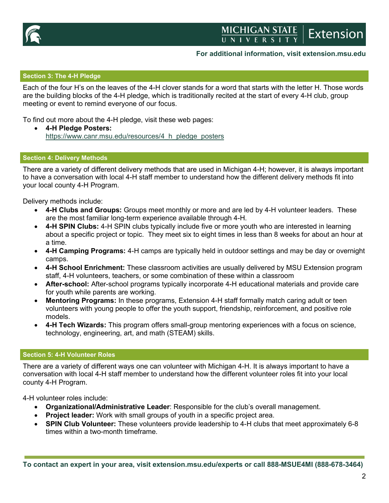

## MICHIGAN STATE Extension

## **For additional information, visit extension.msu.edu**

## **Section 3: The 4-H Pledge**

Each of the four H's on the leaves of the 4-H clover stands for a word that starts with the letter H. Those words are the building blocks of the 4-H pledge, which is traditionally recited at the start of every 4-H club, group meeting or event to remind everyone of our focus.

To find out more about the 4-H pledge, visit these web pages:

• **4-H Pledge Posters:**  [https://www.canr.msu.edu/resources/4\\_h\\_pledge\\_posters](https://www.canr.msu.edu/resources/4_h_pledge_posters)

#### **Section 4: Delivery Methods**

There are a variety of different delivery methods that are used in Michigan 4-H; however, it is always important to have a conversation with local 4-H staff member to understand how the different delivery methods fit into your local county 4-H Program.

Delivery methods include:

- **4-H Clubs and Groups:** Groups meet monthly or more and are led by 4-H volunteer leaders. These are the most familiar long-term experience available through 4-H.
- 4-H SPIN Clubs: 4-H SPIN clubs typically include five or more youth who are interested in learning about a specific project or topic. They meet six to eight times in less than 8 weeks for about an hour at a time.
- **4-H Camping Programs:** 4-H camps are typically held in outdoor settings and may be day or overnight camps.
- **4-H School Enrichment:** These classroom activities are usually delivered by MSU Extension program staff, 4-H volunteers, teachers, or some combination of these within a classroom
- **After-school:** After-school programs typically incorporate 4-H educational materials and provide care for youth while parents are working.
- **Mentoring Programs:** In these programs, Extension 4-H staff formally match caring adult or teen volunteers with young people to offer the youth support, friendship, reinforcement, and positive role models.
- **4-H Tech Wizards:** This program offers small-group mentoring experiences with a focus on science, technology, engineering, art, and math (STEAM) skills.

#### **Section 5: 4-H Volunteer Roles**

There are a variety of different ways one can volunteer with Michigan 4-H. It is always important to have a conversation with local 4-H staff member to understand how the different volunteer roles fit into your local county 4-H Program.

4-H volunteer roles include:

- **Organizational/Administrative Leader**: Responsible for the club's overall management.
- **Project leader:** Work with small groups of youth in a specific project area.
- **SPIN Club Volunteer:** These volunteers provide leadership to 4-H clubs that meet approximately 6-8 times within a two-month timeframe.